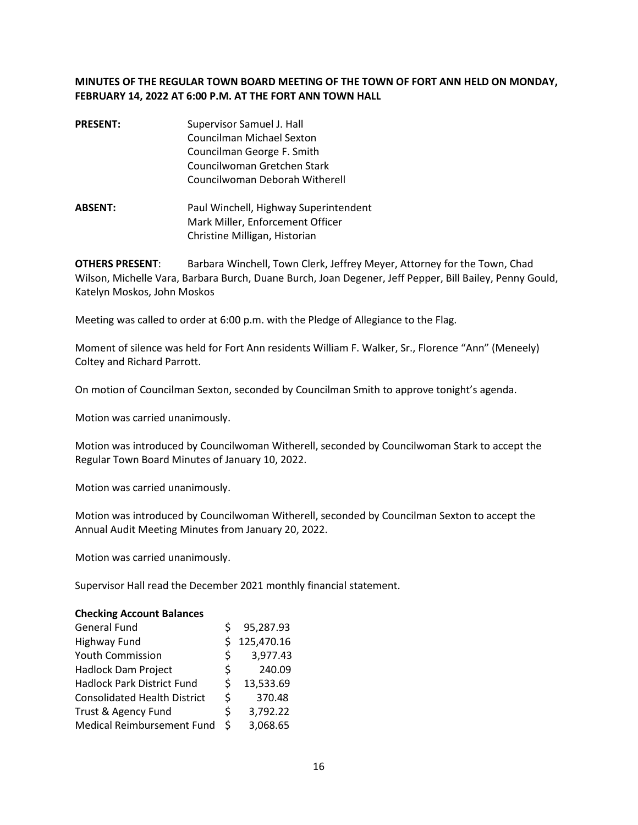## **MINUTES OF THE REGULAR TOWN BOARD MEETING OF THE TOWN OF FORT ANN HELD ON MONDAY, FEBRUARY 14, 2022 AT 6:00 P.M. AT THE FORT ANN TOWN HALL**

- **PRESENT:** Supervisor Samuel J. Hall Councilman Michael Sexton Councilman George F. Smith Councilwoman Gretchen Stark Councilwoman Deborah Witherell
- **ABSENT:** Paul Winchell, Highway Superintendent Mark Miller, Enforcement Officer Christine Milligan, Historian

**OTHERS PRESENT**: Barbara Winchell, Town Clerk, Jeffrey Meyer, Attorney for the Town, Chad Wilson, Michelle Vara, Barbara Burch, Duane Burch, Joan Degener, Jeff Pepper, Bill Bailey, Penny Gould, Katelyn Moskos, John Moskos

Meeting was called to order at 6:00 p.m. with the Pledge of Allegiance to the Flag.

Moment of silence was held for Fort Ann residents William F. Walker, Sr., Florence "Ann" (Meneely) Coltey and Richard Parrott.

On motion of Councilman Sexton, seconded by Councilman Smith to approve tonight's agenda.

Motion was carried unanimously.

Motion was introduced by Councilwoman Witherell, seconded by Councilwoman Stark to accept the Regular Town Board Minutes of January 10, 2022.

Motion was carried unanimously.

Motion was introduced by Councilwoman Witherell, seconded by Councilman Sexton to accept the Annual Audit Meeting Minutes from January 20, 2022.

Motion was carried unanimously.

Supervisor Hall read the December 2021 monthly financial statement.

#### **Checking Account Balances**

| <b>General Fund</b>                 |    | 95,287.93  |
|-------------------------------------|----|------------|
| Highway Fund                        | Ś  | 125,470.16 |
| <b>Youth Commission</b>             | S. | 3,977.43   |
| Hadlock Dam Project                 | \$ | 240.09     |
| <b>Hadlock Park District Fund</b>   | Ś  | 13,533.69  |
| <b>Consolidated Health District</b> | \$ | 370.48     |
| Trust & Agency Fund                 | \$ | 3,792.22   |
| Medical Reimbursement Fund          | Ś  | 3,068.65   |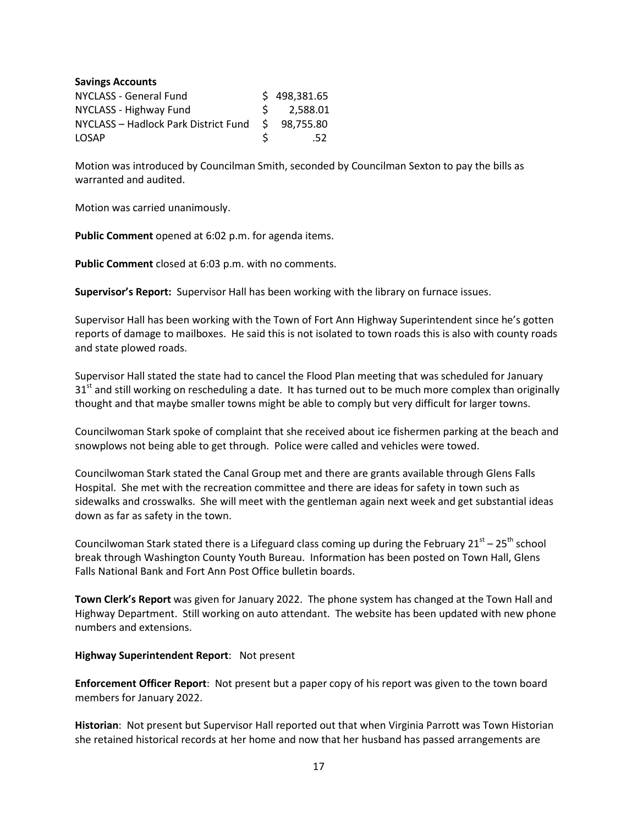| <b>Savings Accounts</b>              |    |              |
|--------------------------------------|----|--------------|
| NYCLASS - General Fund               |    | \$498,381.65 |
| NYCLASS - Highway Fund               | S. | 2,588.01     |
| NYCLASS - Hadlock Park District Fund | S. | 98,755.80    |
| <b>LOSAP</b>                         | ς  | .52          |

Motion was introduced by Councilman Smith, seconded by Councilman Sexton to pay the bills as warranted and audited.

Motion was carried unanimously.

**Public Comment** opened at 6:02 p.m. for agenda items.

**Public Comment** closed at 6:03 p.m. with no comments.

**Supervisor's Report:** Supervisor Hall has been working with the library on furnace issues.

Supervisor Hall has been working with the Town of Fort Ann Highway Superintendent since he's gotten reports of damage to mailboxes. He said this is not isolated to town roads this is also with county roads and state plowed roads.

Supervisor Hall stated the state had to cancel the Flood Plan meeting that was scheduled for January  $31<sup>st</sup>$  and still working on rescheduling a date. It has turned out to be much more complex than originally thought and that maybe smaller towns might be able to comply but very difficult for larger towns.

Councilwoman Stark spoke of complaint that she received about ice fishermen parking at the beach and snowplows not being able to get through. Police were called and vehicles were towed.

Councilwoman Stark stated the Canal Group met and there are grants available through Glens Falls Hospital. She met with the recreation committee and there are ideas for safety in town such as sidewalks and crosswalks. She will meet with the gentleman again next week and get substantial ideas down as far as safety in the town.

Councilwoman Stark stated there is a Lifeguard class coming up during the February  $21^{st} - 25^{th}$  school break through Washington County Youth Bureau. Information has been posted on Town Hall, Glens Falls National Bank and Fort Ann Post Office bulletin boards.

**Town Clerk's Report** was given for January 2022. The phone system has changed at the Town Hall and Highway Department. Still working on auto attendant. The website has been updated with new phone numbers and extensions.

#### **Highway Superintendent Report**: Not present

**Enforcement Officer Report**: Not present but a paper copy of his report was given to the town board members for January 2022.

**Historian**: Not present but Supervisor Hall reported out that when Virginia Parrott was Town Historian she retained historical records at her home and now that her husband has passed arrangements are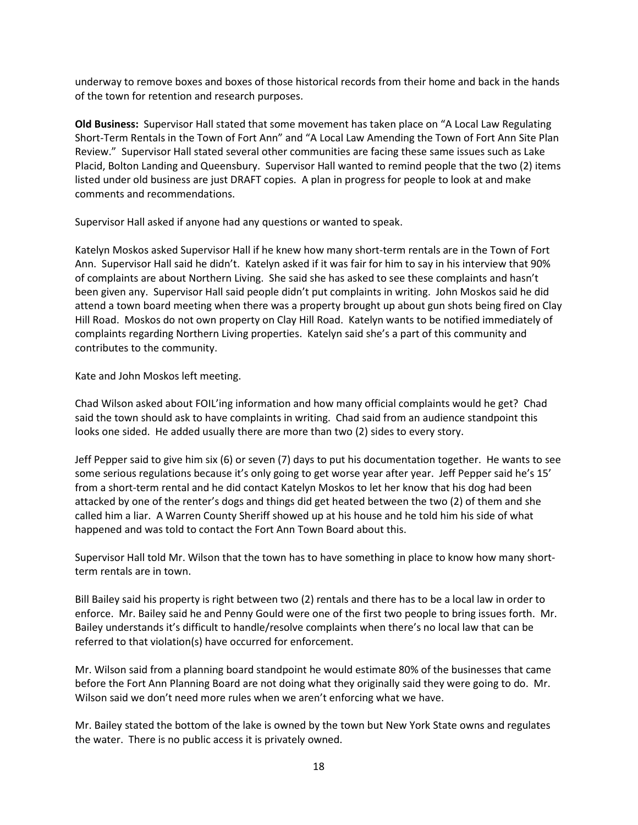underway to remove boxes and boxes of those historical records from their home and back in the hands of the town for retention and research purposes.

**Old Business:** Supervisor Hall stated that some movement has taken place on "A Local Law Regulating Short-Term Rentals in the Town of Fort Ann" and "A Local Law Amending the Town of Fort Ann Site Plan Review." Supervisor Hall stated several other communities are facing these same issues such as Lake Placid, Bolton Landing and Queensbury. Supervisor Hall wanted to remind people that the two (2) items listed under old business are just DRAFT copies. A plan in progress for people to look at and make comments and recommendations.

Supervisor Hall asked if anyone had any questions or wanted to speak.

Katelyn Moskos asked Supervisor Hall if he knew how many short-term rentals are in the Town of Fort Ann. Supervisor Hall said he didn't. Katelyn asked if it was fair for him to say in his interview that 90% of complaints are about Northern Living. She said she has asked to see these complaints and hasn't been given any. Supervisor Hall said people didn't put complaints in writing. John Moskos said he did attend a town board meeting when there was a property brought up about gun shots being fired on Clay Hill Road. Moskos do not own property on Clay Hill Road. Katelyn wants to be notified immediately of complaints regarding Northern Living properties. Katelyn said she's a part of this community and contributes to the community.

Kate and John Moskos left meeting.

Chad Wilson asked about FOIL'ing information and how many official complaints would he get? Chad said the town should ask to have complaints in writing. Chad said from an audience standpoint this looks one sided. He added usually there are more than two (2) sides to every story.

Jeff Pepper said to give him six (6) or seven (7) days to put his documentation together. He wants to see some serious regulations because it's only going to get worse year after year. Jeff Pepper said he's 15' from a short-term rental and he did contact Katelyn Moskos to let her know that his dog had been attacked by one of the renter's dogs and things did get heated between the two (2) of them and she called him a liar. A Warren County Sheriff showed up at his house and he told him his side of what happened and was told to contact the Fort Ann Town Board about this.

Supervisor Hall told Mr. Wilson that the town has to have something in place to know how many shortterm rentals are in town.

Bill Bailey said his property is right between two (2) rentals and there has to be a local law in order to enforce. Mr. Bailey said he and Penny Gould were one of the first two people to bring issues forth. Mr. Bailey understands it's difficult to handle/resolve complaints when there's no local law that can be referred to that violation(s) have occurred for enforcement.

Mr. Wilson said from a planning board standpoint he would estimate 80% of the businesses that came before the Fort Ann Planning Board are not doing what they originally said they were going to do. Mr. Wilson said we don't need more rules when we aren't enforcing what we have.

Mr. Bailey stated the bottom of the lake is owned by the town but New York State owns and regulates the water. There is no public access it is privately owned.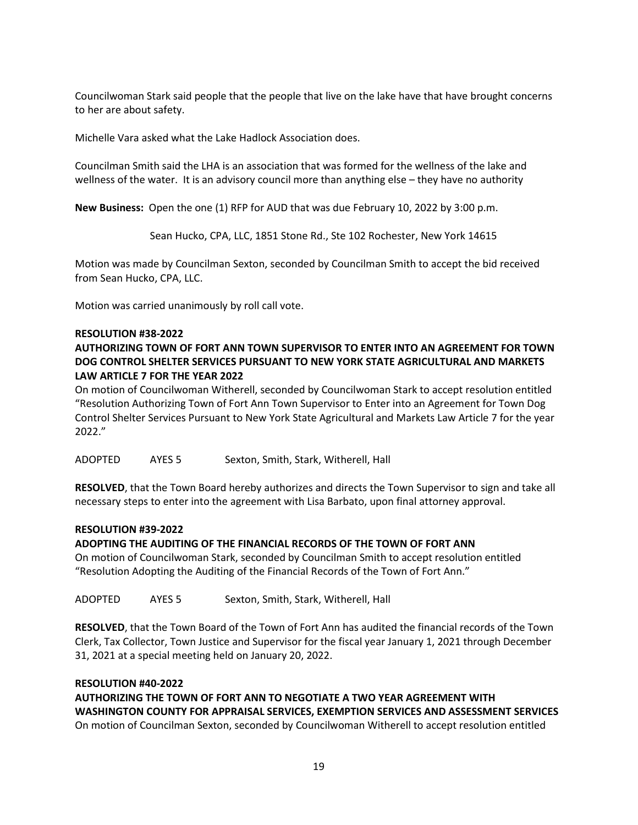Councilwoman Stark said people that the people that live on the lake have that have brought concerns to her are about safety.

Michelle Vara asked what the Lake Hadlock Association does.

Councilman Smith said the LHA is an association that was formed for the wellness of the lake and wellness of the water. It is an advisory council more than anything else – they have no authority

**New Business:** Open the one (1) RFP for AUD that was due February 10, 2022 by 3:00 p.m.

Sean Hucko, CPA, LLC, 1851 Stone Rd., Ste 102 Rochester, New York 14615

Motion was made by Councilman Sexton, seconded by Councilman Smith to accept the bid received from Sean Hucko, CPA, LLC.

Motion was carried unanimously by roll call vote.

#### **RESOLUTION #38-2022**

## **AUTHORIZING TOWN OF FORT ANN TOWN SUPERVISOR TO ENTER INTO AN AGREEMENT FOR TOWN DOG CONTROL SHELTER SERVICES PURSUANT TO NEW YORK STATE AGRICULTURAL AND MARKETS LAW ARTICLE 7 FOR THE YEAR 2022**

On motion of Councilwoman Witherell, seconded by Councilwoman Stark to accept resolution entitled "Resolution Authorizing Town of Fort Ann Town Supervisor to Enter into an Agreement for Town Dog Control Shelter Services Pursuant to New York State Agricultural and Markets Law Article 7 for the year 2022."

ADOPTED AYES 5 Sexton, Smith, Stark, Witherell, Hall

**RESOLVED**, that the Town Board hereby authorizes and directs the Town Supervisor to sign and take all necessary steps to enter into the agreement with Lisa Barbato, upon final attorney approval.

#### **RESOLUTION #39-2022**

### **ADOPTING THE AUDITING OF THE FINANCIAL RECORDS OF THE TOWN OF FORT ANN**

On motion of Councilwoman Stark, seconded by Councilman Smith to accept resolution entitled "Resolution Adopting the Auditing of the Financial Records of the Town of Fort Ann."

ADOPTED AYES 5 Sexton, Smith, Stark, Witherell, Hall

**RESOLVED**, that the Town Board of the Town of Fort Ann has audited the financial records of the Town Clerk, Tax Collector, Town Justice and Supervisor for the fiscal year January 1, 2021 through December 31, 2021 at a special meeting held on January 20, 2022.

## **RESOLUTION #40-2022**

**AUTHORIZING THE TOWN OF FORT ANN TO NEGOTIATE A TWO YEAR AGREEMENT WITH WASHINGTON COUNTY FOR APPRAISAL SERVICES, EXEMPTION SERVICES AND ASSESSMENT SERVICES**  On motion of Councilman Sexton, seconded by Councilwoman Witherell to accept resolution entitled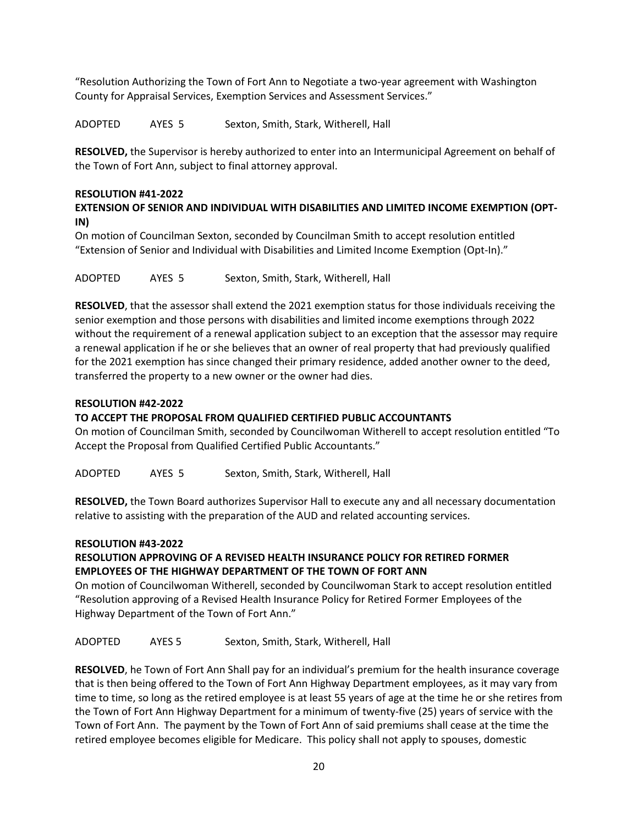"Resolution Authorizing the Town of Fort Ann to Negotiate a two-year agreement with Washington County for Appraisal Services, Exemption Services and Assessment Services."

ADOPTED AYES 5 Sexton, Smith, Stark, Witherell, Hall

**RESOLVED,** the Supervisor is hereby authorized to enter into an Intermunicipal Agreement on behalf of the Town of Fort Ann, subject to final attorney approval.

### **RESOLUTION #41-2022**

## **EXTENSION OF SENIOR AND INDIVIDUAL WITH DISABILITIES AND LIMITED INCOME EXEMPTION (OPT-IN)**

On motion of Councilman Sexton, seconded by Councilman Smith to accept resolution entitled "Extension of Senior and Individual with Disabilities and Limited Income Exemption (Opt-In)."

ADOPTED AYES 5 Sexton, Smith, Stark, Witherell, Hall

**RESOLVED**, that the assessor shall extend the 2021 exemption status for those individuals receiving the senior exemption and those persons with disabilities and limited income exemptions through 2022 without the requirement of a renewal application subject to an exception that the assessor may require a renewal application if he or she believes that an owner of real property that had previously qualified for the 2021 exemption has since changed their primary residence, added another owner to the deed, transferred the property to a new owner or the owner had dies.

### **RESOLUTION #42-2022**

### **TO ACCEPT THE PROPOSAL FROM QUALIFIED CERTIFIED PUBLIC ACCOUNTANTS**

On motion of Councilman Smith, seconded by Councilwoman Witherell to accept resolution entitled "To Accept the Proposal from Qualified Certified Public Accountants."

ADOPTED AYES 5 Sexton, Smith, Stark, Witherell, Hall

**RESOLVED,** the Town Board authorizes Supervisor Hall to execute any and all necessary documentation relative to assisting with the preparation of the AUD and related accounting services.

### **RESOLUTION #43-2022**

## **RESOLUTION APPROVING OF A REVISED HEALTH INSURANCE POLICY FOR RETIRED FORMER EMPLOYEES OF THE HIGHWAY DEPARTMENT OF THE TOWN OF FORT ANN**

On motion of Councilwoman Witherell, seconded by Councilwoman Stark to accept resolution entitled "Resolution approving of a Revised Health Insurance Policy for Retired Former Employees of the Highway Department of the Town of Fort Ann."

ADOPTED AYES 5 Sexton, Smith, Stark, Witherell, Hall

**RESOLVED**, he Town of Fort Ann Shall pay for an individual's premium for the health insurance coverage that is then being offered to the Town of Fort Ann Highway Department employees, as it may vary from time to time, so long as the retired employee is at least 55 years of age at the time he or she retires from the Town of Fort Ann Highway Department for a minimum of twenty-five (25) years of service with the Town of Fort Ann. The payment by the Town of Fort Ann of said premiums shall cease at the time the retired employee becomes eligible for Medicare. This policy shall not apply to spouses, domestic